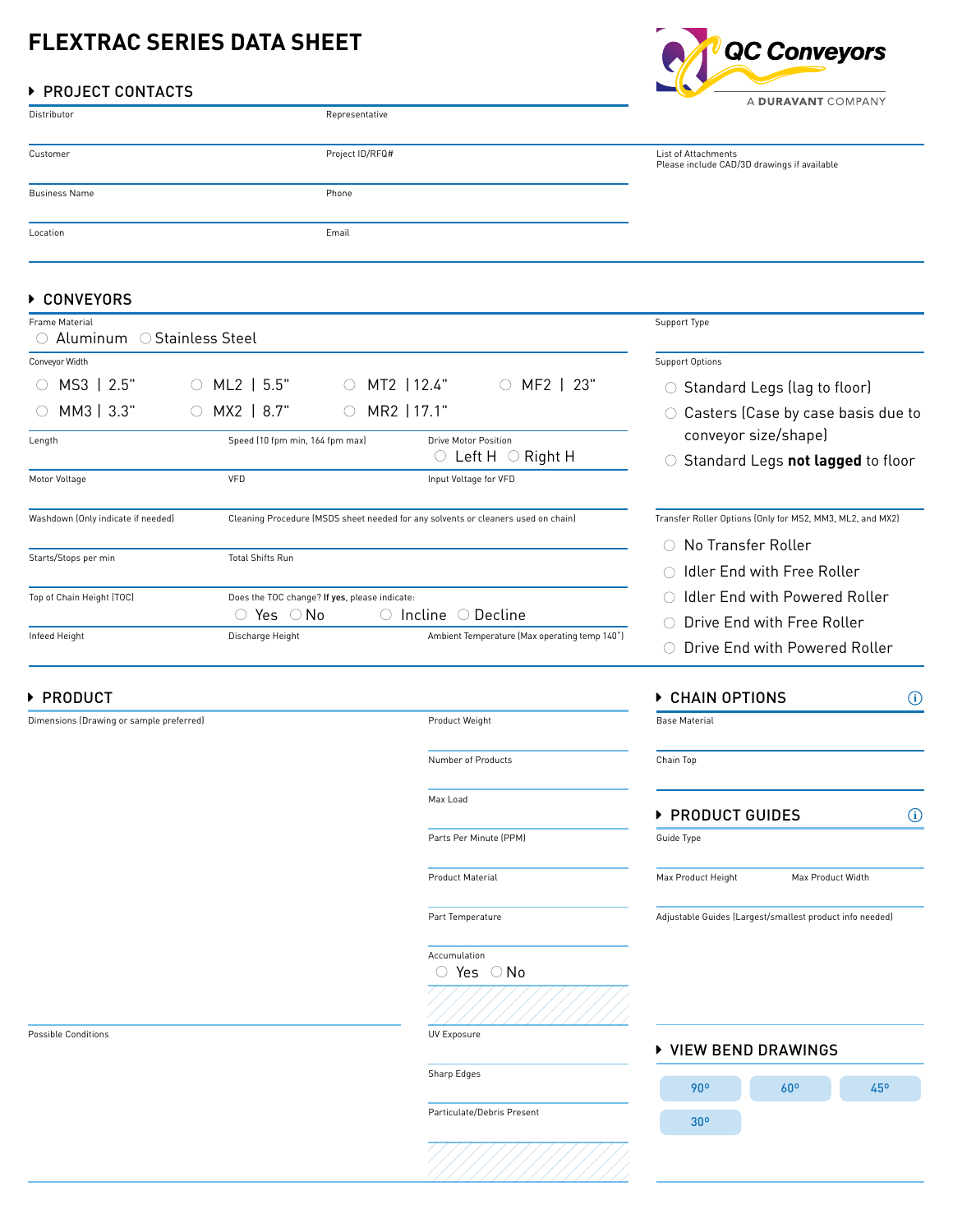# **FLEXTRAC SERIES DATA SHEET**

# ▶ PROJECT CONTACTS

|                      |                 | --                  | A DURAVANT COMPANY                          |  |
|----------------------|-----------------|---------------------|---------------------------------------------|--|
| Distributor          | Representative  |                     |                                             |  |
| Customer             | Project ID/RFQ# | List of Attachments | Please include CAD/3D drawings if available |  |
| <b>Business Name</b> | Phone           |                     |                                             |  |
| Location             | Email           |                     |                                             |  |

## ▶ CONVEYORS

| <b>Frame Material</b>                               |                                                 |                                               |                                                                                                            | Support Type                                                                                         |
|-----------------------------------------------------|-------------------------------------------------|-----------------------------------------------|------------------------------------------------------------------------------------------------------------|------------------------------------------------------------------------------------------------------|
| Conveyor Width<br>MS3  <br>2.5"                     | 5.5"<br>ML2 I                                   | $MT2$   12.4"                                 | MF2  <br>-23"<br>$\left( \quad \right)$                                                                    | <b>Support Options</b><br>$\circ$ Standard Legs (lag to floor)                                       |
| $MM3$   3.3"<br>Length                              | $MX2$   8.7"<br>Speed (10 fpm min, 164 fpm max) | MR2 117.1"                                    | <b>Drive Motor Position</b><br>Left H $\circ$<br>Right H                                                   | Casters (Case by case basis due<br>conveyor size/shape)<br>Standard Legs not lagged to flo<br>$\cup$ |
| Motor Voltage<br>Washdown (Only indicate if needed) | VFD                                             |                                               | Input Voltage for VFD<br>Cleaning Procedure (MSDS sheet needed for any solvents or cleaners used on chain) | Transfer Roller Options (Only for MS2, MM3, ML2, and MX2)                                            |
| Starts/Stops per min                                | <b>Total Shifts Run</b>                         |                                               |                                                                                                            | No Transfer Roller<br>Idler End with Free Roller                                                     |
| Top of Chain Height (TOC)<br>Infeed Height          | Yes ○No<br>Discharge Height                     | Does the TOC change? If yes, please indicate: | Incline $\circlearrowright$<br>Decline<br>Ambient Temperature (Max operating temp 140°)                    | Idler End with Powered Roller<br>Drive End with Free Roller<br>( )<br>Drive End with Powered Roller  |

# ▶ PRODUCT

Dimensions (Drawing or sample preferred) example the extra material product Weight Product Weight

Number of Products

Max Load

Parts Per Minute (PPM)

Product Material

Part Temperature

 $\circ$  Yes  $\circ$  No Accumulation

Sharp Edges

Particulate/Debris Present



| CHAIN OPTIONS        |                                                          |  |  |
|----------------------|----------------------------------------------------------|--|--|
| <b>Base Material</b> |                                                          |  |  |
| Chain Top            |                                                          |  |  |
| ▶ PRODUCT GUIDES     |                                                          |  |  |
| Guide Type           |                                                          |  |  |
| Max Product Height   | Max Product Width                                        |  |  |
|                      | Adjustable Guides (Largest/smallest product info needed) |  |  |
|                      |                                                          |  |  |
|                      |                                                          |  |  |

### ▶ VIEW BEND DRAWINGS



Possible Conditions **Exposure Exposure** UV Exposure

e to

QC Conveyors

Standard Legs **not lagged** to floor